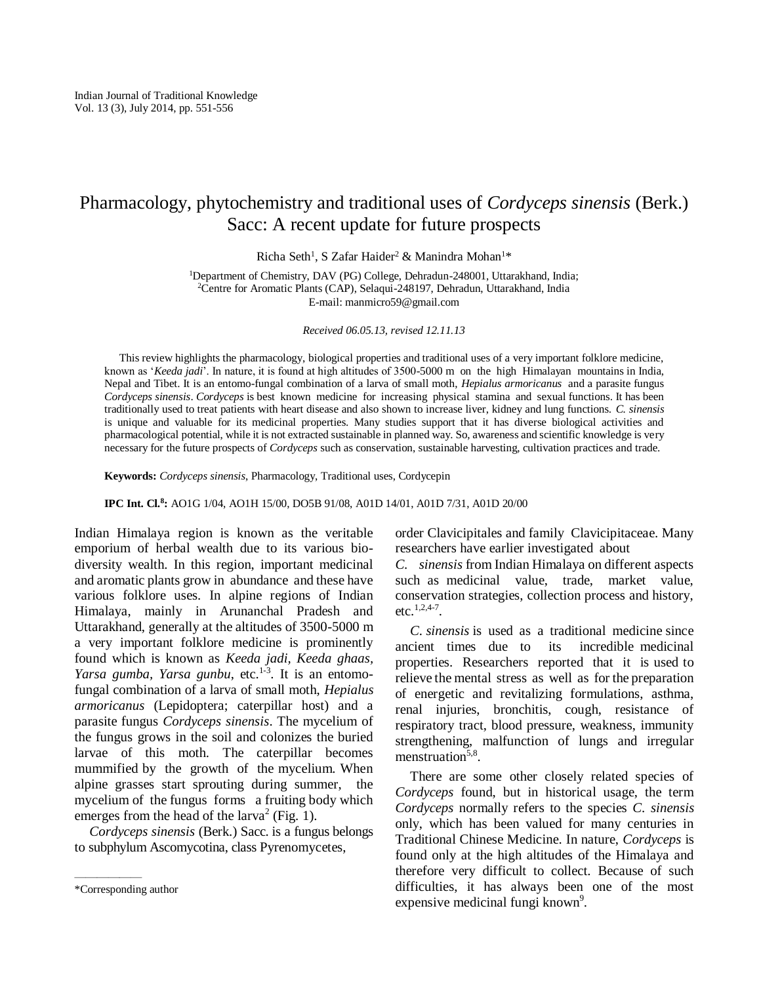# Pharmacology, phytochemistry and traditional uses of *Cordyceps sinensis* (Berk.) Sacc: A recent update for future prospects

Richa Seth<sup>1</sup>, S Zafar Haider<sup>2</sup> & Manindra Mohan<sup>1\*</sup>

<sup>1</sup>Department of Chemistry, DAV (PG) College, Dehradun-248001, Uttarakhand, India; <sup>2</sup>Centre for Aromatic Plants (CAP), Selaqui-248197, Dehradun, Uttarakhand, India E-mail[: manmicro59@gmail.com](mailto:manmicro59@gmail.com)

*Received 06.05.13, revised 12.11.13*

This review highlights the pharmacology, biological properties and traditional uses of a very important folklore medicine, known as '*Keeda jadi*'. In nature, it is found at high altitudes of 3500-5000 m on the high Himalayan mountains in India, Nepal and Tibet. It is an entomo-fungal combination of a larva of small moth, *Hepialus armoricanus* and a parasite fungus *Cordyceps sinensis*. *Cordyceps* is best known medicine for increasing physical stamina and sexual functions. It has been traditionally used to treat patients with heart disease and also shown to increase liver, kidney and lung functions. *C. sinensis*  is unique and valuable for its medicinal properties. Many studies support that it has diverse biological activities and pharmacological potential, while it is not extracted sustainable in planned way. So, awareness and scientific knowledge is very necessary for the future prospects of *Cordyceps* such as conservation, sustainable harvesting, cultivation practices and trade.

**Keywords:** *Cordyceps sinensis*, Pharmacology, Traditional uses, Cordycepin

**IPC Int. Cl.<sup>8</sup> :** AO1G 1/04, AO1H 15/00, DO5B 91/08, A01D 14/01, A01D 7/31, A01D 20/00

Indian Himalaya region is known as the veritable emporium of herbal wealth due to its various biodiversity wealth. In this region, important medicinal and aromatic plants grow in abundance and these have various folklore uses. In alpine regions of Indian Himalaya, mainly in Arunanchal Pradesh and Uttarakhand, generally at the altitudes of 3500-5000 m a very important folklore medicine is prominently found which is known as *Keeda jadi, Keeda ghaas,*  Yarsa gumba, Yarsa gunbu, etc.<sup>1-3</sup>. It is an entomofungal combination of a larva of small moth, *Hepialus armoricanus* (Lepidoptera; caterpillar host) and a parasite fungus *Cordyceps sinensis*. The mycelium of the fungus grows in the soil and colonizes the buried larvae of this moth. The caterpillar becomes mummified by the growth of the mycelium. When alpine grasses start sprouting during summer, the mycelium of the fungus forms a fruiting body which emerges from the head of the  $larva<sup>2</sup>$  (Fig. 1).

*Cordyceps sinensis* (Berk.) Sacc. is a fungus belongs to subphylum Ascomycotina, class Pyrenomycetes,

——————

order Clavicipitales and family Clavicipitaceae. Many researchers have earlier investigated about

*C. sinensis* from Indian Himalaya on different aspects such as medicinal value, trade, market value, conservation strategies, collection process and history, etc.<sup>1,2,4-7</sup>.

*C. sinensis* is used as a traditional medicine since ancient times due to its incredible medicinal properties. Researchers reported that it is used to relieve the mental stress as well as for the preparation of energetic and revitalizing formulations, asthma, renal injuries, bronchitis, cough, resistance of respiratory tract, blood pressure, weakness, immunity strengthening, malfunction of lungs and irregular menstruation<sup>5,8</sup>.

There are some other closely related species of *Cordyceps* found, but in historical usage, the term *Cordyceps* normally refers to the species *C. sinensis*  only, which has been valued for many centuries in Traditional Chinese Medicine. In nature, *Cordyceps* is found only at the high altitudes of the Himalaya and therefore very difficult to collect. Because of such difficulties, it has always been one of the most expensive medicinal fungi known<sup>9</sup>.

<sup>\*</sup>Corresponding author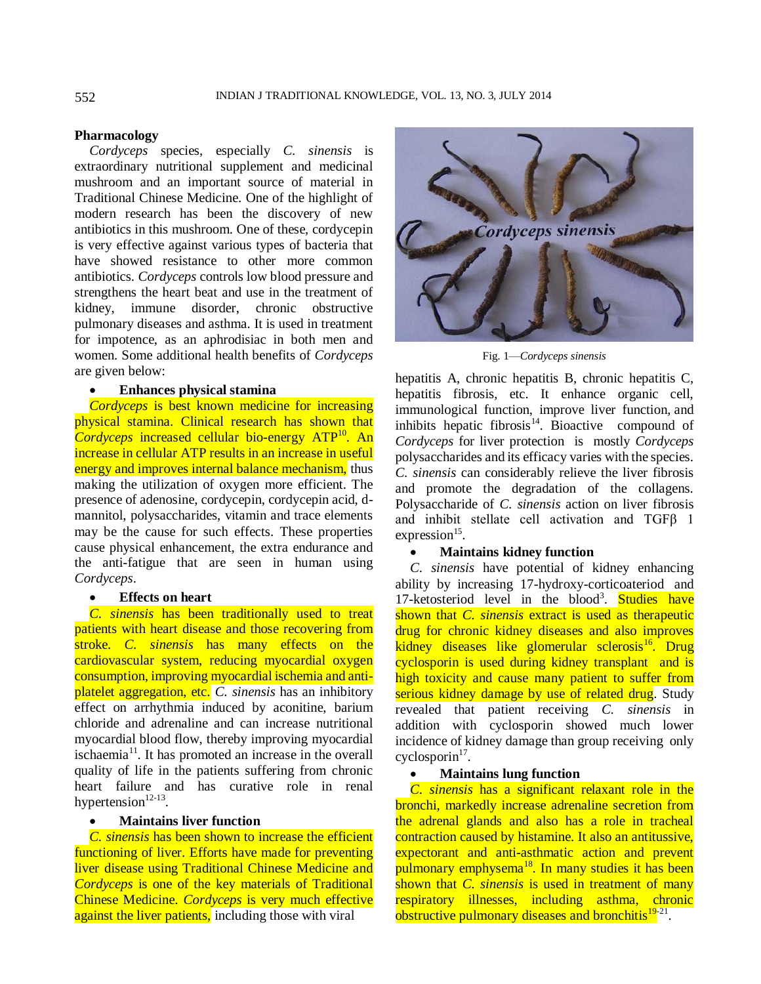#### **Pharmacology**

*Cordyceps* species, especially *C. sinensis* is extraordinary nutritional supplement and medicinal mushroom and an important source of material in Traditional Chinese Medicine. One of the highlight of modern research has been the discovery of new antibiotics in this mushroom. One of these, cordycepin is very effective against various types of bacteria that have showed resistance to other more common antibiotics. *Cordyceps* controls low blood pressure and strengthens the heart beat and use in the treatment of kidney, immune disorder, chronic obstructive pulmonary diseases and asthma. It is used in treatment for impotence, as an aphrodisiac in both men and women. Some additional health benefits of *Cordyceps*  are given below:

## **Enhances physical stamina**

*Cordyceps* is best known medicine for increasing physical stamina. Clinical research has shown that *Cordyceps* increased cellular bio-energy ATP<sup>10</sup>. An increase in cellular ATP results in an increase in useful energy and improves internal balance mechanism, thus making the utilization of oxygen more efficient. The presence of adenosine, cordycepin, cordycepin acid, dmannitol, polysaccharides, vitamin and trace elements may be the cause for such effects. These properties cause physical enhancement, the extra endurance and the anti-fatigue that are seen in human using *Cordyceps*.

#### **Effects on heart**

*C. sinensis* has been traditionally used to treat patients with heart disease and those recovering from stroke. *C. sinensis* has many effects on the cardiovascular system, reducing myocardial oxygen consumption, improving myocardial ischemia and antiplatelet aggregation, etc. *C. sinensis* has an inhibitory effect on arrhythmia induced by aconitine, barium chloride and adrenaline and can increase nutritional myocardial blood flow, thereby improving myocardial ischaemia<sup>11</sup>. It has promoted an increase in the overall quality of life in the patients suffering from chronic heart failure and has curative role in renal hypertension $12-13$ .

# **Maintains liver function**

*C. sinensis* has been shown to increase the efficient functioning of liver. Efforts have made for preventing liver disease using Traditional Chinese Medicine and *Cordyceps* is one of the key materials of Traditional Chinese Medicine. *Cordyceps* is very much effective against the liver patients, including those with viral



Fig. 1—*Cordyceps sinensis*

hepatitis A, chronic hepatitis B, chronic hepatitis C, hepatitis fibrosis, etc. It enhance organic cell, immunological function, improve liver function, and inhibits hepatic fibrosis $14$ . Bioactive compound of *Cordyceps* for liver protection is mostly *Cordyceps*  polysaccharides and its efficacy varies with the species. *C. sinensis* can considerably relieve the liver fibrosis and promote the degradation of the collagens. Polysaccharide of *C. sinensis* action on liver fibrosis and inhibit stellate cell activation and TGFβ 1  $expression<sup>15</sup>$ .

# **Maintains kidney function**

*C. sinensis* have potential of kidney enhancing ability by increasing 17-hydroxy-corticoateriod and 17-ketosteriod level in the blood<sup>3</sup>. Studies have shown that *C. sinensis* extract is used as therapeutic drug for chronic kidney diseases and also improves kidney diseases like glomerular sclerosis<sup>16</sup>. Drug cyclosporin is used during kidney transplant and is high toxicity and cause many patient to suffer from serious kidney damage by use of related drug. Study revealed that patient receiving *C. sinensis* in addition with cyclosporin showed much lower incidence of kidney damage than group receiving only  $cyclosporin<sup>17</sup>$ .

#### **Maintains lung function**

*C. sinensis* has a significant relaxant role in the bronchi, markedly increase adrenaline secretion from the adrenal glands and also has a role in tracheal contraction caused by histamine. It also an antitussive, expectorant and anti-asthmatic action and prevent pulmonary emphysema<sup>18</sup>. In many studies it has been shown that *C. sinensis* is used in treatment of many respiratory illnesses, including asthma, chronic obstructive pulmonary diseases and bronchitis<sup>19-21</sup>.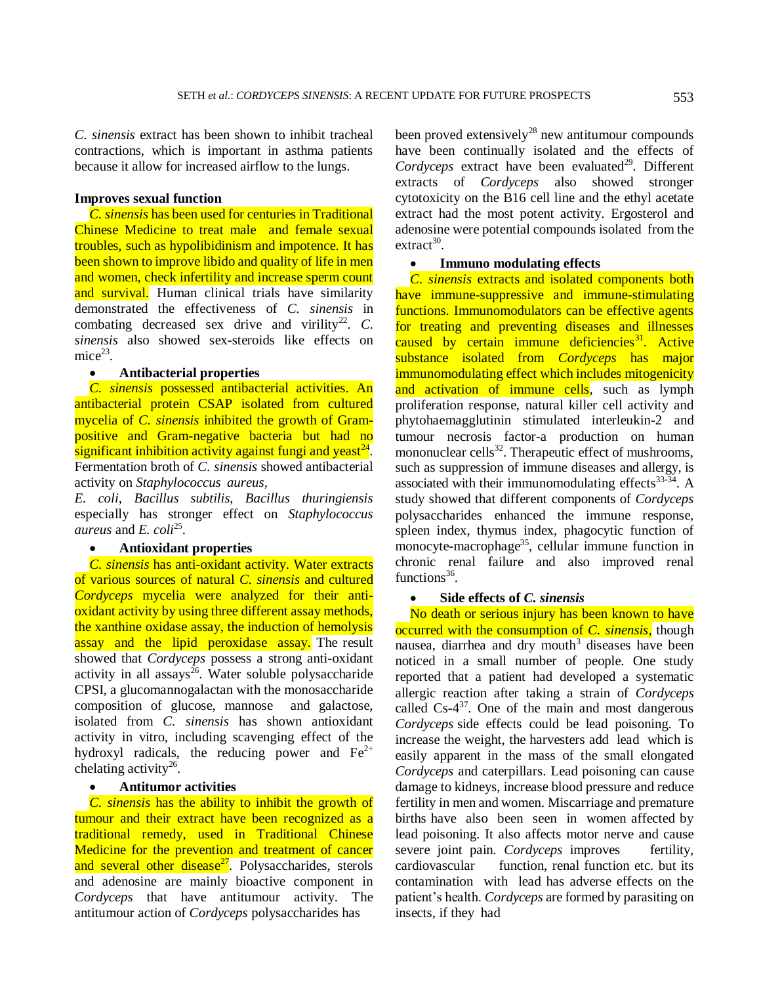*C. sinensis* extract has been shown to inhibit tracheal contractions, which is important in asthma patients because it allow for increased airflow to the lungs.

## **Improves sexual function**

*C. sinensis* has been used for centuries in Traditional Chinese Medicine to treat male and female sexual troubles, such as hypolibidinism and impotence. It has been shown to improve libido and quality of life in men and women, check infertility and increase sperm count and survival. Human clinical trials have similarity demonstrated the effectiveness of *C. sinensis* in combating decreased sex drive and virility<sup>22</sup>.  $C$ . *sinensis* also showed sex-steroids like effects on mice<sup>23</sup>.

## **Antibacterial properties**

*C. sinensis* possessed antibacterial activities. An antibacterial protein CSAP isolated from cultured mycelia of *C. sinensis* inhibited the growth of Grampositive and Gram-negative bacteria but had no significant inhibition activity against fungi and yeast $^{24}$ . Fermentation broth of *C. sinensis* showed antibacterial activity on *Staphylococcus aureus,*

*E. coli, Bacillus subtilis, Bacillus thuringiensis*  especially has stronger effect on *Staphylococcus aureus* and *E. coli*<sup>25</sup> .

## **Antioxidant properties**

*C. sinensis* has anti-oxidant activity. Water extracts of various sources of natural *C. sinensis* and cultured *Cordyceps* mycelia were analyzed for their antioxidant activity by using three different assay methods, the xanthine oxidase assay, the induction of hemolysis assay and the lipid peroxidase assay. The result showed that *Cordyceps* possess a strong anti-oxidant activity in all assays<sup>26</sup>. Water soluble polysaccharide CPSI, a glucomannogalactan with the monosaccharide composition of glucose, mannose and galactose, isolated from *C. sinensis* has shown antioxidant activity in vitro, including scavenging effect of the hydroxyl radicals, the reducing power and  $Fe^{2+}$ chelating activity<sup>26</sup>.

## **Antitumor activities**

*C. sinensis* has the ability to inhibit the growth of tumour and their extract have been recognized as a traditional remedy, used in Traditional Chinese Medicine for the prevention and treatment of cancer and several other disease $^{27}$ . Polysaccharides, sterols and adenosine are mainly bioactive component in *Cordyceps* that have antitumour activity. The antitumour action of *Cordyceps* polysaccharides has

been proved extensively<sup>28</sup> new antitumour compounds have been continually isolated and the effects of *Cordyceps* extract have been evaluated<sup>29</sup>. Different extracts of *Cordyceps* also showed stronger cytotoxicity on the B16 cell line and the ethyl acetate extract had the most potent activity. Ergosterol and adenosine were potential compounds isolated from the extract<sup>30</sup>.

## **Immuno modulating effects**

*C. sinensis* extracts and isolated components both have immune-suppressive and immune-stimulating functions. Immunomodulators can be effective agents for treating and preventing diseases and illnesses caused by certain immune deficiencies<sup>31</sup>. Active substance isolated from *Cordyceps* has major immunomodulating effect which includes mitogenicity and activation of immune cells, such as lymph proliferation response, natural killer cell activity and phytohaemagglutinin stimulated interleukin-2 and tumour necrosis factor-a production on human mononuclear cells<sup>32</sup>. Therapeutic effect of mushrooms, such as suppression of immune diseases and allergy, is associated with their immunomodulating effects $33-34$ . A study showed that different components of *Cordyceps*  polysaccharides enhanced the immune response, spleen index, thymus index, phagocytic function of monocyte-macrophage<sup>35</sup>, cellular immune function in chronic renal failure and also improved renal functions<sup>36</sup>.

#### **Side effects of** *C. sinensis*

No death or serious injury has been known to have occurred with the consumption of *C. sinensis*, though nausea, diarrhea and dry mouth<sup>3</sup> diseases have been noticed in a small number of people. One study reported that a patient had developed a systematic allergic reaction after taking a strain of *Cordyceps*  called Cs-4 <sup>37</sup>. One of the main and most dangerous *Cordyceps* side effects could be lead poisoning. To increase the weight, the harvesters add lead which is easily apparent in the mass of the small elongated *Cordyceps* and caterpillars. Lead poisoning can cause damage to kidneys, increase blood pressure and reduce fertility in men and women. Miscarriage and premature births have also been seen in women affected by lead poisoning. It also affects motor nerve and cause severe joint pain. *Cordyceps* improves fertility, cardiovascular function, renal function etc. but its contamination with lead has adverse effects on the patient's health. *Cordyceps* are formed by parasiting on insects, if they had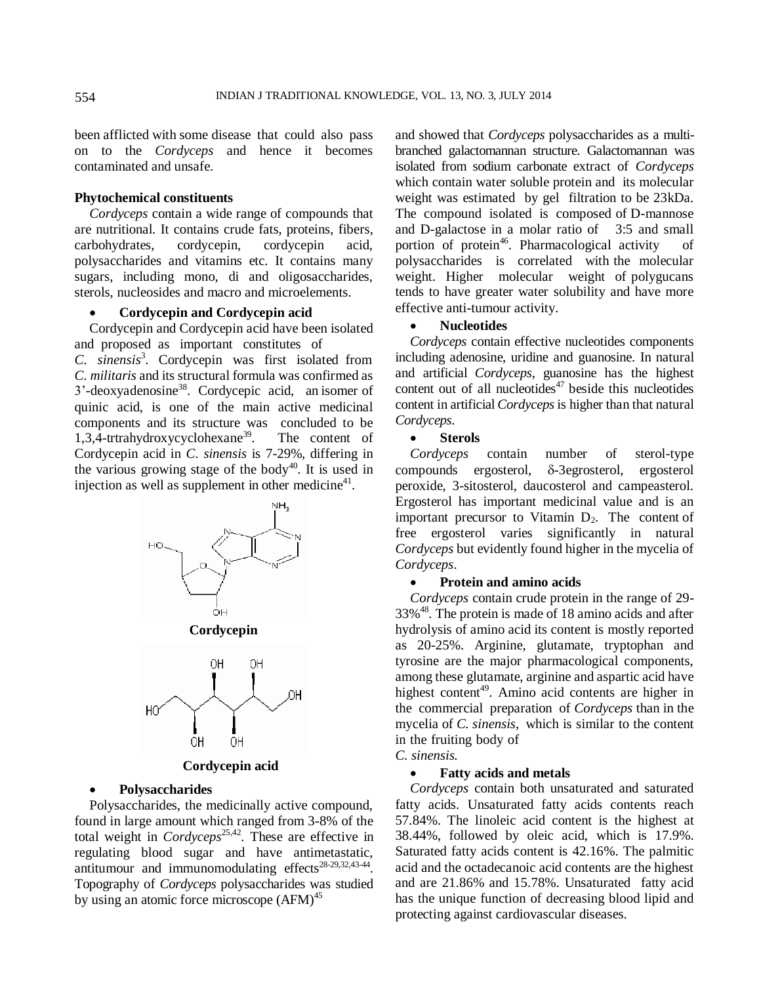been afflicted with some disease that could also pass on to the *Cordyceps* and hence it becomes contaminated and unsafe.

## **Phytochemical constituents**

*Cordyceps* contain a wide range of compounds that are nutritional. It contains crude fats, proteins, fibers, carbohydrates, cordycepin, cordycepin acid, polysaccharides and vitamins etc. It contains many sugars, including mono, di and oligosaccharides, sterols, nucleosides and macro and microelements.

## **Cordycepin and Cordycepin acid**

Cordycepin and Cordycepin acid have been isolated and proposed as important constitutes of

*C. sinensis*<sup>3</sup> . Cordycepin was first isolated from *C. militaris* and its structural formula was confirmed as 3'-deoxyadenosine<sup>38</sup>. Cordycepic acid, an isomer of quinic acid, is one of the main active medicinal components and its structure was concluded to be 1,3,4-trtrahydroxycyclohexane<sup>39</sup>. The content of Cordycepin acid in *C. sinensis* is 7-29%, differing in the various growing stage of the body<sup>40</sup>. It is used in injection as well as supplement in other medicine $4$ <sup>1</sup>.



# **Cordycepin acid**

## **Polysaccharides**

Polysaccharides, the medicinally active compound, found in large amount which ranged from 3-8% of the total weight in *Cordyceps*25,42. These are effective in regulating blood sugar and have antimetastatic, antitumour and immunomodulating effects $28-29,32,43-44$ . Topography of *Cordyceps* polysaccharides was studied by using an atomic force microscope (AFM)<sup>45</sup>

and showed that *Cordyceps* polysaccharides as a multibranched galactomannan structure. Galactomannan was isolated from sodium carbonate extract of *Cordyceps*  which contain water soluble protein and its molecular weight was estimated by gel filtration to be 23kDa. The compound isolated is composed of D-mannose and D-galactose in a molar ratio of 3:5 and small portion of protein<sup>46</sup>. Pharmacological activity of polysaccharides is correlated with the molecular weight. Higher molecular weight of polygucans tends to have greater water solubility and have more effective anti-tumour activity.

#### **Nucleotides**

*Cordyceps* contain effective nucleotides components including adenosine, uridine and guanosine. In natural and artificial *Cordyceps*, guanosine has the highest content out of all nucleotides<sup> $47$ </sup> beside this nucleotides content in artificial *Cordyceps* is higher than that natural *Cordyceps*.

#### **Sterols**

*Cordyceps* contain number of sterol-type compounds ergosterol,  $\delta$ -3egrosterol, ergosterol peroxide, 3-sitosterol, daucosterol and campeasterol. Ergosterol has important medicinal value and is an important precursor to Vitamin  $D_2$ . The content of free ergosterol varies significantly in natural *Cordyceps* but evidently found higher in the mycelia of *Cordyceps*.

#### **Protein and amino acids**

*Cordyceps* contain crude protein in the range of 29- 33%<sup>48</sup>. The protein is made of 18 amino acids and after hydrolysis of amino acid its content is mostly reported as 20-25%. Arginine, glutamate, tryptophan and tyrosine are the major pharmacological components, among these glutamate, arginine and aspartic acid have highest content<sup>49</sup>. Amino acid contents are higher in the commercial preparation of *Cordyceps* than in the mycelia of *C. sinensis*, which is similar to the content in the fruiting body of

# *C. sinensis.*

# **Fatty acids and metals**

*Cordyceps* contain both unsaturated and saturated fatty acids. Unsaturated fatty acids contents reach 57.84%. The linoleic acid content is the highest at 38.44%, followed by oleic acid, which is 17.9%. Saturated fatty acids content is 42.16%. The palmitic acid and the octadecanoic acid contents are the highest and are 21.86% and 15.78%. Unsaturated fatty acid has the unique function of decreasing blood lipid and protecting against cardiovascular diseases.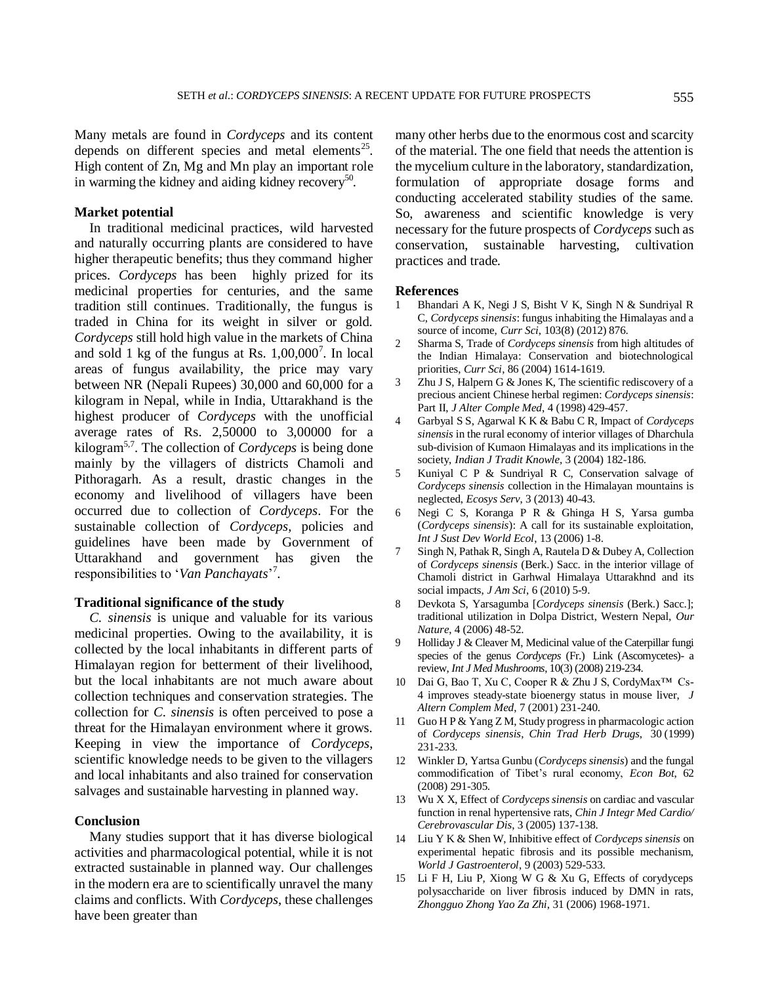Many metals are found in *Cordyceps* and its content depends on different species and metal elements<sup>25</sup>. High content of Zn, Mg and Mn play an important role in warming the kidney and aiding kidney recovery<sup>50</sup>.

#### **Market potential**

In traditional medicinal practices, wild harvested and naturally occurring plants are considered to have higher therapeutic benefits; thus they command higher prices. *Cordyceps* has been highly prized for its medicinal properties for centuries, and the same tradition still continues. Traditionally, the fungus is traded in China for its weight in silver or gold. *Cordyceps* still hold high value in the markets of China and sold 1 kg of the fungus at Rs.  $1,00,000^7$ . In local areas of fungus availability, the price may vary between NR (Nepali Rupees) 30,000 and 60,000 for a kilogram in Nepal, while in India, Uttarakhand is the highest producer of *Cordyceps* with the unofficial average rates of Rs. 2,50000 to 3,00000 for a kilogram5,7. The collection of *Cordyceps* is being done mainly by the villagers of districts Chamoli and Pithoragarh. As a result, drastic changes in the economy and livelihood of villagers have been occurred due to collection of *Cordyceps*. For the sustainable collection of *Cordyceps*, policies and guidelines have been made by Government of Uttarakhand and government has given the responsibilities to '*Van Panchayats*' 7 .

#### **Traditional significance of the study**

*C. sinensis* is unique and valuable for its various medicinal properties. Owing to the availability, it is collected by the local inhabitants in different parts of Himalayan region for betterment of their livelihood, but the local inhabitants are not much aware about collection techniques and conservation strategies. The collection for *C. sinensis* is often perceived to pose a threat for the Himalayan environment where it grows. Keeping in view the importance of *Cordyceps*, scientific knowledge needs to be given to the villagers and local inhabitants and also trained for conservation salvages and sustainable harvesting in planned way.

## **Conclusion**

Many studies support that it has diverse biological activities and pharmacological potential, while it is not extracted sustainable in planned way. Our challenges in the modern era are to scientifically unravel the many claims and conflicts. With *Cordyceps*, these challenges have been greater than

many other herbs due to the enormous cost and scarcity of the material. The one field that needs the attention is the mycelium culture in the laboratory, standardization, formulation of appropriate dosage forms and conducting accelerated stability studies of the same. So, awareness and scientific knowledge is very necessary for the future prospects of *Cordyceps* such as conservation, sustainable harvesting, cultivation practices and trade.

#### **References**

- 1 Bhandari A K, Negi J S, Bisht V K, Singh N & Sundriyal R C, *Cordyceps sinensis*: fungus inhabiting the Himalayas and a source of income, *Curr Sci*, 103(8) (2012) 876.
- 2 Sharma S, Trade of *Cordyceps sinensis* from high altitudes of the Indian Himalaya: Conservation and biotechnological priorities, *Curr Sci*, 86 (2004) 1614-1619.
- 3 Zhu J S, Halpern G & Jones K, The scientific rediscovery of a precious ancient Chinese herbal regimen: *Cordyceps sinensis*: Part II, *J Alter Comple Med*, 4 (1998) 429-457.
- 4 Garbyal S S, Agarwal K K & Babu C R, Impact of *Cordyceps sinensis* in the rural economy of interior villages of Dharchula sub-division of Kumaon Himalayas and its implications in the society, *Indian J Tradit Knowle*, 3 (2004) 182-186.
- 5 Kuniyal C P & Sundriyal R C, Conservation salvage of *Cordyceps sinensis* collection in the Himalayan mountains is neglected, *Ecosys Serv*, 3 (2013) 40-43.
- 6 Negi C S, Koranga P R & Ghinga H S, Yarsa gumba (*Cordyceps sinensis*): A call for its sustainable exploitation, *Int J Sust Dev World Ecol*, 13 (2006) 1-8.
- 7 Singh N, Pathak R, Singh A, Rautela D & Dubey A, Collection of *Cordyceps sinensis* (Berk.) Sacc. in the interior village of Chamoli district in Garhwal Himalaya Uttarakhnd and its social impacts, *J Am Sci*, 6 (2010) 5-9.
- 8 Devkota S, Yarsagumba [*Cordyceps sinensis* (Berk.) Sacc.]; traditional utilization in Dolpa District, Western Nepal, *Our Nature*, 4 (2006) 48-52.
- 9 Holliday J & Cleaver M, Medicinal value of the Caterpillar fungi species of the genus *Cordyceps* (Fr.) Link (Ascomycetes)- a review, *Int J Med Mushrooms*, 10(3) (2008) 219-234.
- 10 Dai G, Bao T, Xu C, Cooper R & Zhu J S, CordyMax™ Cs-4 improves steady-state bioenergy status in mouse liver, *J Altern Complem Med*, 7 (2001) 231-240.
- 11 Guo H P & Yang Z M, Study progress in pharmacologic action of *Cordyceps sinensis*, *Chin Trad Herb Drugs*, 30 (1999) 231-233.
- 12 Winkler D, Yartsa Gunbu (*Cordyceps sinensis*) and the fungal commodification of Tibet's rural economy, *Econ Bot*, 62 (2008) 291-305.
- 13 Wu X X, Effect of *Cordyceps sinensis* on cardiac and vascular function in renal hypertensive rats, *Chin J Integr Med Cardio/ Cerebrovascular Dis*, 3 (2005) 137-138.
- 14 Liu Y K & Shen W, Inhibitive effect of *Cordyceps sinensis* on experimental hepatic fibrosis and its possible mechanism, *World J Gastroenterol*, 9 (2003) 529-533.
- 15 Li F H, Liu P, Xiong W G & Xu G, Effects of corydyceps polysaccharide on liver fibrosis induced by DMN in rats, *Zhongguo Zhong Yao Za Zhi*, 31 (2006) 1968-1971.